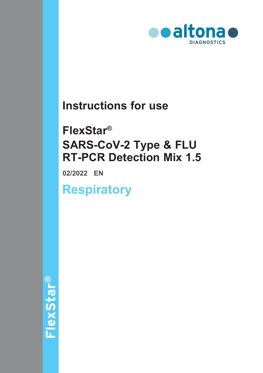

# **Instructions for use**

# **FlexStar® SARS-CoV-2 Type & FLU RT-PCR Detection Mix 1.5**

**02/2022 EN**

**Respiratory**

**FlexStar ®**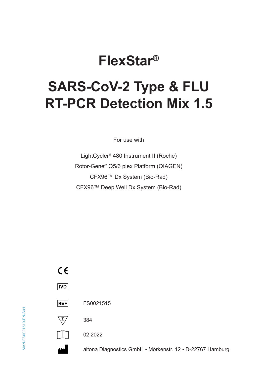# **FlexStar®**

# **SARS-CoV-2 Type & FLU RT-PCR Detection Mix 1.5**

For use with

LightCycler® 480 Instrument II (Roche) Rotor-Gene® Q5/6 plex Platform (QIAGEN) CFX96™ Dx System (Bio-Rad) CFX96™ Deep Well Dx System (Bio-Rad)

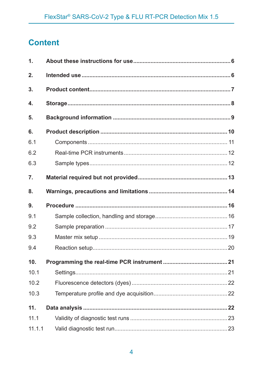# **Content**

| $\mathbf{1}$ . |  |  |  |  |  |
|----------------|--|--|--|--|--|
| 2.             |  |  |  |  |  |
| 3.             |  |  |  |  |  |
| 4.             |  |  |  |  |  |
| 5.             |  |  |  |  |  |
| 6.             |  |  |  |  |  |
| 6.1            |  |  |  |  |  |
| 6.2            |  |  |  |  |  |
| 6.3            |  |  |  |  |  |
| 7.             |  |  |  |  |  |
| 8.             |  |  |  |  |  |
| 9.             |  |  |  |  |  |
| 9.1            |  |  |  |  |  |
| 9.2            |  |  |  |  |  |
| 9.3            |  |  |  |  |  |
| 9.4            |  |  |  |  |  |
| 10.            |  |  |  |  |  |
| 10.1           |  |  |  |  |  |
| 10.2           |  |  |  |  |  |
|                |  |  |  |  |  |
| 10.3           |  |  |  |  |  |
| 11.            |  |  |  |  |  |
| 11.1           |  |  |  |  |  |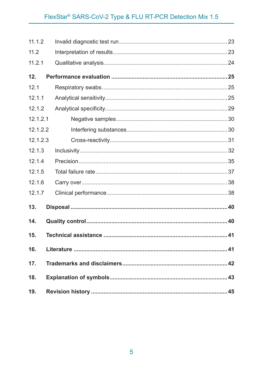| 11.1.2   |  |  |  |  |  |
|----------|--|--|--|--|--|
| 11.2     |  |  |  |  |  |
| 11.2.1   |  |  |  |  |  |
| 12.      |  |  |  |  |  |
| 12.1     |  |  |  |  |  |
| 12.1.1   |  |  |  |  |  |
| 12.1.2   |  |  |  |  |  |
| 12.1.2.1 |  |  |  |  |  |
| 12.1.2.2 |  |  |  |  |  |
| 12.1.2.3 |  |  |  |  |  |
| 12.1.3   |  |  |  |  |  |
| 12.1.4   |  |  |  |  |  |
| 12.1.5   |  |  |  |  |  |
| 12.1.6   |  |  |  |  |  |
| 12.1.7   |  |  |  |  |  |
| 13.      |  |  |  |  |  |
| 14.      |  |  |  |  |  |
| 15.      |  |  |  |  |  |
| 16.      |  |  |  |  |  |
| 17.      |  |  |  |  |  |
| 18.      |  |  |  |  |  |
| 19.      |  |  |  |  |  |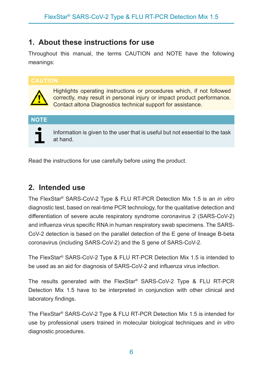### <span id="page-5-0"></span>**1. About these instructions for use**

Throughout this manual, the terms CAUTION and NOTE have the following meanings:



Highlights operating instructions or procedures which, if not followed correctly, may result in personal injury or impact product performance. Contact altona Diagnostics technical support for assistance.

**NOTE**



Information is given to the user that is useful but not essential to the task at hand.

Read the instructions for use carefully before using the product.

## <span id="page-5-1"></span>**2. Intended use**

The FlexStar® SARS-CoV-2 Type & FLU RT-PCR Detection Mix 1.5 is an *in vitro* diagnostic test, based on real-time PCR technology, for the qualitative detection and differentiation of severe acute respiratory syndrome coronavirus 2 (SARS-CoV-2) and influenza virus specific RNA in human respiratory swab specimens. The SARS-CoV-2 detection is based on the parallel detection of the E gene of lineage B-beta coronavirus (including SARS-CoV-2) and the S gene of SARS-CoV-2.

The FlexStar® SARS-CoV-2 Type & FLU RT-PCR Detection Mix 1.5 is intended to be used as an aid for diagnosis of SARS-CoV-2 and influenza virus infection.

The results generated with the FlexStar® SARS-CoV-2 Type & FLU RT-PCR Detection Mix 1.5 have to be interpreted in conjunction with other clinical and laboratory findings.

The FlexStar® SARS-CoV-2 Type & FLU RT-PCR Detection Mix 1.5 is intended for use by professional users trained in molecular biological techniques and *in vitro* diagnostic procedures.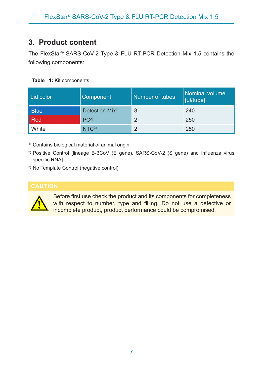### <span id="page-6-0"></span>**3. Product content**

The FlexStar® SARS-CoV-2 Type & FLU RT-PCR Detection Mix 1.5 contains the following components:

#### **Table 1:** Kit components

| Lid color   | <b>Component</b>            | Number of tubes | 'l Nominal volume.<br>[µl/tube] |
|-------------|-----------------------------|-----------------|---------------------------------|
| <b>Blue</b> | Detection Mix <sup>1)</sup> | 8               | 240                             |
| l Red       | PC <sup>2</sup>             | 2               | 250                             |
| White       | NTC <sup>3</sup>            | 2               | 250                             |

1) Contains biological material of animal origin

<sup>2)</sup> Positive Control [lineage B-βCoV (E gene), SARS-CoV-2 (S gene) and influenza virus specific RNA]

3) No Template Control (negative control)



Before first use check the product and its components for completeness with respect to number, type and filling. Do not use a defective or incomplete product, product performance could be compromised.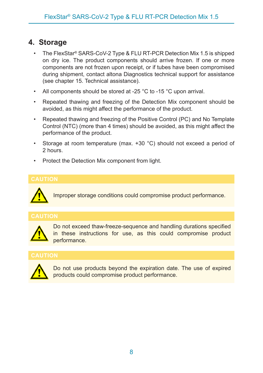### <span id="page-7-0"></span>**4. Storage**

- The FlexStar® SARS-CoV-2 Type & FLU RT-PCR Detection Mix 1.5 is shipped on dry ice. The product components should arrive frozen. If one or more components are not frozen upon receipt, or if tubes have been compromised during shipment, contact altona Diagnostics technical support for assistance (see chapter 15. Technical assistance).
- All components should be stored at -25 °C to -15 °C upon arrival.
- Repeated thawing and freezing of the Detection Mix component should be avoided, as this might affect the performance of the product.
- Repeated thawing and freezing of the Positive Control (PC) and No Template Control (NTC) (more than 4 times) should be avoided, as this might affect the performance of the product.
- Storage at room temperature (max. +30 °C) should not exceed a period of 2 hours.
- Protect the Detection Mix component from light.



Improper storage conditions could compromise product performance.



Do not exceed thaw-freeze-sequence and handling durations specified in these instructions for use, as this could compromise product performance.



Do not use products beyond the expiration date. The use of expired products could compromise product performance.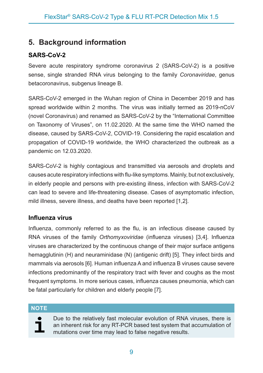## <span id="page-8-0"></span>**5. Background information**

#### **SARS-CoV-2**

Severe acute respiratory syndrome coronavirus 2 (SARS-CoV-2) is a positive sense, single stranded RNA virus belonging to the family *Coronaviridae*, genus betacoronavirus, subgenus lineage B.

SARS-CoV-2 emerged in the Wuhan region of China in December 2019 and has spread worldwide within 2 months. The virus was initially termed as 2019-nCoV (novel Coronavirus) and renamed as SARS-CoV-2 by the "International Committee on Taxonomy of Viruses", on 11.02.2020. At the same time the WHO named the disease, caused by SARS-CoV-2, COVID-19. Considering the rapid escalation and propagation of COVID-19 worldwide, the WHO characterized the outbreak as a pandemic on 12.03.2020.

SARS-CoV-2 is highly contagious and transmitted via aerosols and droplets and causes acute respiratory infections with flu-like symptoms. Mainly, but not exclusively, in elderly people and persons with pre-existing illness, infection with SARS-CoV-2 can lead to severe and life-threatening disease. Cases of asymptomatic infection, mild illness, severe illness, and deaths have been reported [1,2].

#### **Influenza virus**

Influenza, commonly referred to as the flu, is an infectious disease caused by RNA viruses of the family *Orthomyxoviridae* (influenza viruses) [3,4]. Influenza viruses are characterized by the continuous change of their major surface antigens hemagglutinin (H) and neuraminidase (N) (antigenic drift) [5]. They infect birds and mammals via aerosols [6]. Human influenza A and influenza B viruses cause severe infections predominantly of the respiratory tract with fever and coughs as the most frequent symptoms. In more serious cases, influenza causes pneumonia, which can be fatal particularly for children and elderly people [7].

#### **NOTE**

Due to the relatively fast molecular evolution of RNA viruses, there is an inherent risk for any RT-PCR based test system that accumulation of mutations over time may lead to false negative results.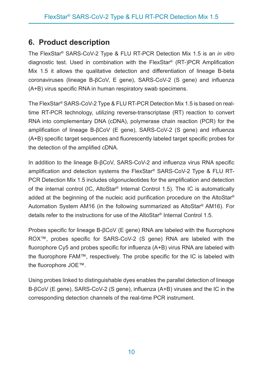### <span id="page-9-0"></span>**6. Product description**

The FlexStar® SARS-CoV-2 Type & FLU RT-PCR Detection Mix 1.5 is an *in vitro* diagnostic test. Used in combination with the FlexStar® (RT-)PCR Amplification Mix 1.5 it allows the qualitative detection and differentiation of lineage B-beta coronaviruses (lineage B-βCoV, E gene), SARS-CoV-2 (S gene) and influenza (A+B) virus specific RNA in human respiratory swab specimens.

The FlexStar® SARS-CoV-2 Type & FLU RT-PCR Detection Mix 1.5 is based on realtime RT-PCR technology, utilizing reverse-transcriptase (RT) reaction to convert RNA into complementary DNA (cDNA), polymerase chain reaction (PCR) for the amplification of lineage B-βCoV (E gene), SARS-CoV-2 (S gene) and influenza (A+B) specific target sequences and fluorescently labeled target specific probes for the detection of the amplified cDNA.

In addition to the lineage B-βCoV, SARS-CoV-2 and influenza virus RNA specific amplification and detection systems the FlexStar® SARS-CoV-2 Type & FLU RT-PCR Detection Mix 1.5 includes oligonucleotides for the amplification and detection of the internal control (IC, AltoStar® Internal Control 1.5). The IC is automatically added at the beginning of the nucleic acid purification procedure on the AltoStar® Automation System AM16 (in the following summarized as AltoStar® AM16). For details refer to the instructions for use of the AltoStar® Internal Control 1.5.

Probes specific for lineage B-βCoV (E gene) RNA are labeled with the fluorophore ROX™, probes specific for SARS-CoV-2 (S gene) RNA are labeled with the fluorophore Cy5 and probes specific for influenza (A+B) virus RNA are labeled with the fluorophore FAM™, respectively. The probe specific for the IC is labeled with the fluorophore JOE™.

Using probes linked to distinguishable dyes enables the parallel detection of lineage B-βCoV (E gene), SARS-CoV-2 (S gene), influenza (A+B) viruses and the IC in the corresponding detection channels of the real-time PCR instrument.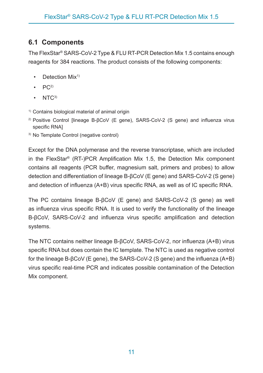### <span id="page-10-0"></span>**6.1 Components**

The FlexStar® SARS-CoV-2 Type & FLU RT-PCR Detection Mix 1.5 contains enough reagents for 384 reactions. The product consists of the following components:

- Detection Mix<sup>1)</sup>
- $PC<sup>2</sup>$
- NTC<sup>3)</sup>

1) Contains biological material of animal origin

- <sup>2)</sup> Positive Control [lineage B-βCoV (E gene), SARS-CoV-2 (S gene) and influenza virus specific RNA]
- 3) No Template Control (negative control)

Except for the DNA polymerase and the reverse transcriptase, which are included in the FlexStar® (RT-)PCR Amplification Mix 1.5, the Detection Mix component contains all reagents (PCR buffer, magnesium salt, primers and probes) to allow detection and differentiation of lineage B-βCoV (E gene) and SARS-CoV-2 (S gene) and detection of influenza (A+B) virus specific RNA, as well as of IC specific RNA.

The PC contains lineage B-βCoV (E gene) and SARS-CoV-2 (S gene) as well as influenza virus specific RNA. It is used to verify the functionality of the lineage B-βCoV, SARS-CoV-2 and influenza virus specific amplification and detection systems.

The NTC contains neither lineage B-βCoV, SARS-CoV-2, nor influenza (A+B) virus specific RNA but does contain the IC template. The NTC is used as negative control for the lineage B-βCoV (E gene), the SARS-CoV-2 (S gene) and the influenza (A+B) virus specific real-time PCR and indicates possible contamination of the Detection Mix component.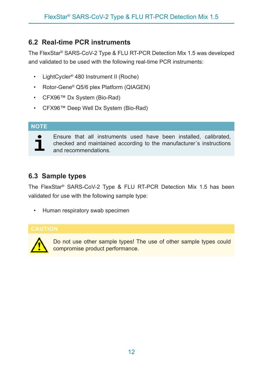#### <span id="page-11-0"></span>**6.2 Real-time PCR instruments**

The FlexStar® SARS-CoV-2 Type & FLU RT-PCR Detection Mix 1.5 was developed and validated to be used with the following real-time PCR instruments:

- LightCycler® 480 Instrument II (Roche)
- Rotor-Gene® Q5/6 plex Platform (QIAGEN)
- CFX96™ Dx System (Bio-Rad)
- CFX96™ Deep Well Dx System (Bio-Rad)

#### **NOTE**

Ensure that all instruments used have been installed, calibrated, checked and maintained according to the manufacturer´s instructions and recommendations.

### <span id="page-11-1"></span>**6.3 Sample types**

The FlexStar® SARS-CoV-2 Type & FLU RT-PCR Detection Mix 1.5 has been validated for use with the following sample type:

• Human respiratory swab specimen



Do not use other sample types! The use of other sample types could compromise product performance.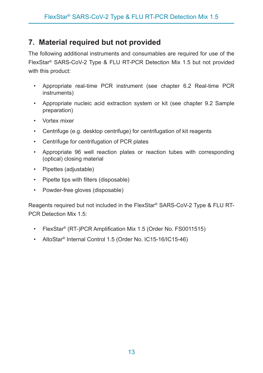### <span id="page-12-0"></span>**7. Material required but not provided**

The following additional instruments and consumables are required for use of the FlexStar® SARS-CoV-2 Type & FLU RT-PCR Detection Mix 1.5 but not provided with this product:

- Appropriate real-time PCR instrument (see chapter 6.2 Real-time PCR instruments)
- Appropriate nucleic acid extraction system or kit (see chapter 9.2 Sample preparation)
- Vortex mixer
- Centrifuge (e.g. desktop centrifuge) for centrifugation of kit reagents
- Centrifuge for centrifugation of PCR plates
- Appropriate 96 well reaction plates or reaction tubes with corresponding (optical) closing material
- Pipettes (adjustable)
- Pipette tips with filters (disposable)
- Powder-free gloves (disposable)

Reagents required but not included in the FlexStar® SARS-CoV-2 Type & FLU RT-PCR Detection Mix 1.5:

- FlexStar® (RT-)PCR Amplification Mix 1.5 (Order No. FS0011515)
- AltoStar® Internal Control 1.5 (Order No. IC15-16/IC15-46)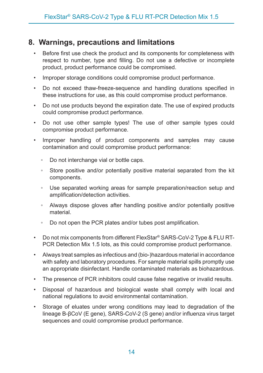#### <span id="page-13-0"></span>**8. Warnings, precautions and limitations**

- Before first use check the product and its components for completeness with respect to number, type and filling. Do not use a defective or incomplete product, product performance could be compromised.
- Improper storage conditions could compromise product performance.
- Do not exceed thaw-freeze-sequence and handling durations specified in these instructions for use, as this could compromise product performance.
- Do not use products beyond the expiration date. The use of expired products could compromise product performance.
- Do not use other sample types! The use of other sample types could compromise product performance.
- Improper handling of product components and samples may cause contamination and could compromise product performance:
	- Do not interchange vial or bottle caps.
	- Store positive and/or potentially positive material separated from the kit components.
	- Use separated working areas for sample preparation/reaction setup and amplification/detection activities.
	- Always dispose gloves after handling positive and/or potentially positive material.
	- Do not open the PCR plates and/or tubes post amplification.
- Do not mix components from different FlexStar® SARS-CoV-2 Type & FLU RT-PCR Detection Mix 1.5 lots, as this could compromise product performance.
- Always treat samples as infectious and (bio-)hazardous material in accordance with safety and laboratory procedures. For sample material spills promptly use an appropriate disinfectant. Handle contaminated materials as biohazardous.
- The presence of PCR inhibitors could cause false negative or invalid results.
- Disposal of hazardous and biological waste shall comply with local and national regulations to avoid environmental contamination.
- Storage of eluates under wrong conditions may lead to degradation of the lineage B-βCoV (E gene), SARS-CoV-2 (S gene) and/or influenza virus target sequences and could compromise product performance.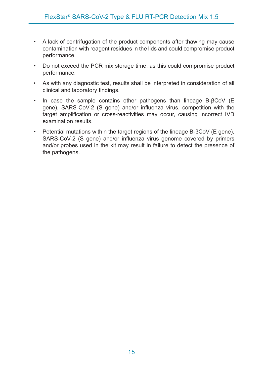- A lack of centrifugation of the product components after thawing may cause contamination with reagent residues in the lids and could compromise product performance.
- Do not exceed the PCR mix storage time, as this could compromise product performance.
- As with any diagnostic test, results shall be interpreted in consideration of all clinical and laboratory findings.
- In case the sample contains other pathogens than lineage B-βCoV (E gene), SARS-CoV-2 (S gene) and/or influenza virus, competition with the target amplification or cross-reactivities may occur, causing incorrect IVD examination results.
- Potential mutations within the target regions of the lineage B-βCoV (E gene), SARS-CoV-2 (S gene) and/or influenza virus genome covered by primers and/or probes used in the kit may result in failure to detect the presence of the pathogens.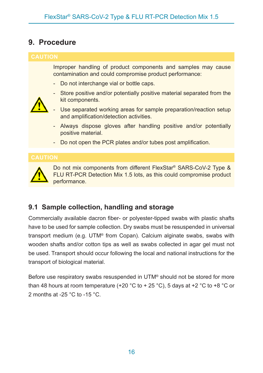## <span id="page-15-0"></span>**9. Procedure**

Improper handling of product components and samples may cause contamination and could compromise product performance:

- Do not interchange vial or bottle caps.



- Store positive and/or potentially positive material separated from the kit components.
- Use separated working areas for sample preparation/reaction setup and amplification/detection activities.
- Always dispose gloves after handling positive and/or potentially positive material.
- Do not open the PCR plates and/or tubes post amplification.



Do not mix components from different FlexStar® SARS-CoV-2 Type & FLU RT-PCR Detection Mix 1.5 lots, as this could compromise product performance.

#### <span id="page-15-1"></span>**9.1 Sample collection, handling and storage**

Commercially available dacron fiber- or polyester-tipped swabs with plastic shafts have to be used for sample collection. Dry swabs must be resuspended in universal transport medium (e.g. UTM® from Copan). Calcium alginate swabs, swabs with wooden shafts and/or cotton tips as well as swabs collected in agar gel must not be used. Transport should occur following the local and national instructions for the transport of biological material.

Before use respiratory swabs resuspended in UTM® should not be stored for more than 48 hours at room temperature (+20  $^{\circ}$ C to + 25  $^{\circ}$ C), 5 days at +2  $^{\circ}$ C to +8  $^{\circ}$ C or 2 months at -25 °C to -15 °C.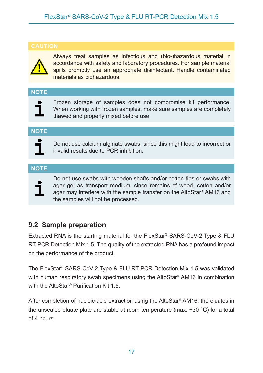

Always treat samples as infectious and (bio-)hazardous material in accordance with safety and laboratory procedures. For sample material spills promptly use an appropriate disinfectant. Handle contaminated materials as biohazardous.

**NOTE**



Frozen storage of samples does not compromise kit performance. When working with frozen samples, make sure samples are completely thawed and properly mixed before use.

**NOTE**



Do not use calcium alginate swabs, since this might lead to incorrect or invalid results due to PCR inhibition.

#### **NOTE**



Do not use swabs with wooden shafts and/or cotton tips or swabs with agar gel as transport medium, since remains of wood, cotton and/or agar may interfere with the sample transfer on the AltoStar® AM16 and the samples will not be processed.

#### <span id="page-16-0"></span>**9.2 Sample preparation**

Extracted RNA is the starting material for the FlexStar® SARS-CoV-2 Type & FLU RT-PCR Detection Mix 1.5. The quality of the extracted RNA has a profound impact on the performance of the product.

The FlexStar® SARS-CoV-2 Type & FLU RT-PCR Detection Mix 1.5 was validated with human respiratory swab specimens using the AltoStar® AM16 in combination with the AltoStar<sup>®</sup> Purification Kit 1.5

After completion of nucleic acid extraction using the AltoStar® AM16, the eluates in the unsealed eluate plate are stable at room temperature (max. +30 °C) for a total of 4 hours.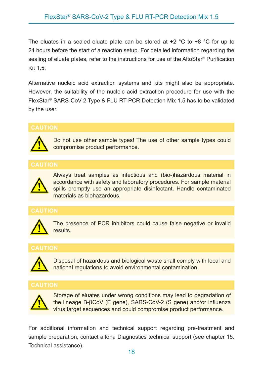The eluates in a sealed eluate plate can be stored at  $+2$  °C to  $+8$  °C for up to 24 hours before the start of a reaction setup. For detailed information regarding the sealing of eluate plates, refer to the instructions for use of the AltoStar® Purification Kit 1.5

Alternative nucleic acid extraction systems and kits might also be appropriate. However, the suitability of the nucleic acid extraction procedure for use with the FlexStar® SARS-CoV-2 Type & FLU RT-PCR Detection Mix 1.5 has to be validated by the user.



Do not use other sample types! The use of other sample types could compromise product performance.



Always treat samples as infectious and (bio-)hazardous material in accordance with safety and laboratory procedures. For sample material spills promptly use an appropriate disinfectant. Handle contaminated materials as biohazardous.



The presence of PCR inhibitors could cause false negative or invalid results.



Disposal of hazardous and biological waste shall comply with local and national regulations to avoid environmental contamination.



Storage of eluates under wrong conditions may lead to degradation of the lineage B-βCoV (E gene), SARS-CoV-2 (S gene) and/or influenza virus target sequences and could compromise product performance.

For additional information and technical support regarding pre-treatment and sample preparation, contact altona Diagnostics technical support (see chapter 15. Technical assistance).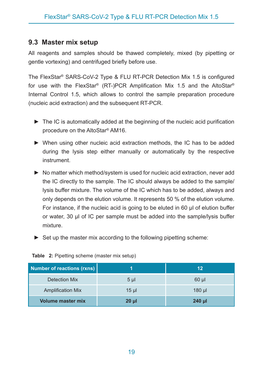#### <span id="page-18-0"></span>**9.3 Master mix setup**

All reagents and samples should be thawed completely, mixed (by pipetting or gentle vortexing) and centrifuged briefly before use.

The FlexStar® SARS-CoV-2 Type & FLU RT-PCR Detection Mix 1.5 is configured for use with the FlexStar® (RT-)PCR Amplification Mix 1.5 and the AltoStar® Internal Control 1.5, which allows to control the sample preparation procedure (nucleic acid extraction) and the subsequent RT-PCR.

- $\blacktriangleright$  The IC is automatically added at the beginning of the nucleic acid purification procedure on the AltoStar® AM16.
- ► When using other nucleic acid extraction methods, the IC has to be added during the lysis step either manually or automatically by the respective instrument.
- ► No matter which method/system is used for nucleic acid extraction, never add the IC directly to the sample. The IC should always be added to the sample/ lysis buffer mixture. The volume of the IC which has to be added, always and only depends on the elution volume. It represents 50 % of the elution volume. For instance, if the nucleic acid is going to be eluted in 60 µl of elution buffer or water, 30 µl of IC per sample must be added into the sample/lysis buffer mixture.
- ► Set up the master mix according to the following pipetting scheme:

| Number of reactions (rxns) |                 | 12       |
|----------------------------|-----------------|----------|
| <b>Detection Mix</b>       | 5 <sub>µl</sub> | $60$ µl  |
| <b>Amplification Mix</b>   | 15 <sub>µ</sub> | $180$ µl |
| <b>Volume master mix</b>   | $20 \mu$        | $240$ µl |

**Table 2:** Pipetting scheme (master mix setup)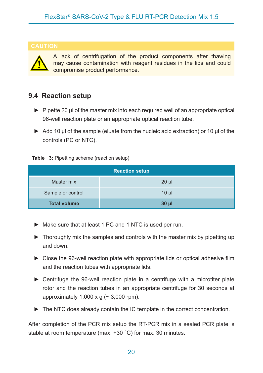

A lack of centrifugation of the product components after thawing may cause contamination with reagent residues in the lids and could compromise product performance.

#### <span id="page-19-0"></span>**9.4 Reaction setup**

- ► Pipette 20 µl of the master mix into each required well of an appropriate optical 96-well reaction plate or an appropriate optical reaction tube.
- ► Add 10 µl of the sample (eluate from the nucleic acid extraction) or 10 µl of the controls (PC or NTC).

**Table 3:** Pipetting scheme (reaction setup)

| <b>Reaction setup</b> |          |  |  |  |
|-----------------------|----------|--|--|--|
| Master mix            | $20 \mu$ |  |  |  |
| Sample or control     | $10 \mu$ |  |  |  |
| <b>Total volume</b>   | $30 \mu$ |  |  |  |

- ► Make sure that at least 1 PC and 1 NTC is used per run.
- ► Thoroughly mix the samples and controls with the master mix by pipetting up and down.
- ► Close the 96-well reaction plate with appropriate lids or optical adhesive film and the reaction tubes with appropriate lids.
- ► Centrifuge the 96-well reaction plate in a centrifuge with a microtiter plate rotor and the reaction tubes in an appropriate centrifuge for 30 seconds at approximately 1,000 x g  $($   $\sim$  3,000 rpm).
- ► The NTC does already contain the IC template in the correct concentration.

After completion of the PCR mix setup the RT-PCR mix in a sealed PCR plate is stable at room temperature (max. +30 °C) for max. 30 minutes.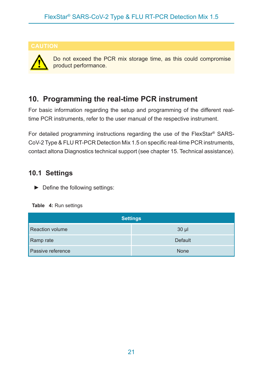

Do not exceed the PCR mix storage time, as this could compromise product performance.

## <span id="page-20-0"></span>**10. Programming the real-time PCR instrument**

For basic information regarding the setup and programming of the different realtime PCR instruments, refer to the user manual of the respective instrument.

For detailed programming instructions regarding the use of the FlexStar® SARS-CoV-2 Type & FLU RT-PCR Detection Mix 1.5 on specific real-time PCR instruments, contact altona Diagnostics technical support (see chapter 15. Technical assistance).

### <span id="page-20-1"></span>**10.1 Settings**

► Define the following settings:

#### **Table 4:** Run settings

| <b>Settings</b>          |          |  |  |  |
|--------------------------|----------|--|--|--|
| <b>Reaction volume</b>   | $30 \mu$ |  |  |  |
| Ramp rate                | Default  |  |  |  |
| <b>Passive reference</b> | None     |  |  |  |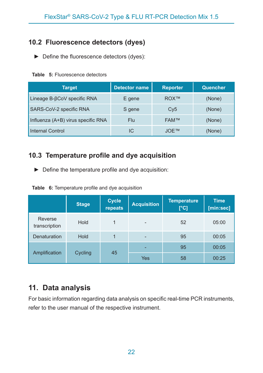### <span id="page-21-0"></span>**10.2 Fluorescence detectors (dyes)**

► Define the fluorescence detectors (dyes):

**Table 5:** Fluorescence detectors

| <b>Target</b>                      | <b>Detector name</b> | <b>Reporter</b>   | Quencher |
|------------------------------------|----------------------|-------------------|----------|
| Lineage B-βCoV specific RNA        | E gene               | <b>ROX™</b>       | (None)   |
| SARS-CoV-2 specific RNA            | S gene               | Cv5               | (None)   |
| Influenza (A+B) virus specific RNA | Flu                  | <b>FAM™</b>       | (None)   |
| <b>Internal Control</b>            | IC                   | JOE <sub>TM</sub> | (None)   |

#### <span id="page-21-1"></span>**10.3 Temperature profile and dye acquisition**

► Define the temperature profile and dye acquisition:

|  |  | Table 6: Temperature profile and dye acquisition |  |  |  |  |
|--|--|--------------------------------------------------|--|--|--|--|
|--|--|--------------------------------------------------|--|--|--|--|

|                          | <b>Stage</b> | <b>Cycle</b><br>repeats | <b>Acquisition</b>       | <b>Temperature</b><br>[°C] | <b>Time</b><br>[min:sec] |
|--------------------------|--------------|-------------------------|--------------------------|----------------------------|--------------------------|
| Reverse<br>transcription | Hold         | 1                       | $\overline{\phantom{a}}$ | 52                         | 05:00                    |
| Denaturation             | Hold         |                         | $\overline{a}$           | 95                         | 00:05                    |
| <b>Amplification</b>     | Cycling      |                         | ٠                        | 95                         | 00:05                    |
|                          |              | 45                      | Yes                      | 58                         | 00:25                    |

## <span id="page-21-2"></span>**11. Data analysis**

For basic information regarding data analysis on specific real-time PCR instruments, refer to the user manual of the respective instrument.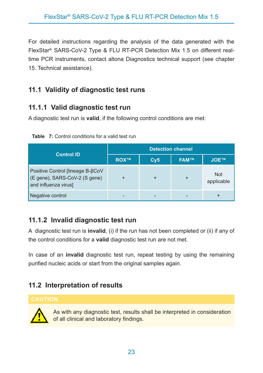For detailed instructions regarding the analysis of the data generated with the FlexStar® SARS-CoV-2 Type & FLU RT-PCR Detection Mix 1.5 on different realtime PCR instruments, contact altona Diagnostics technical support (see chapter 15. Technical assistance).

### <span id="page-22-0"></span>**11.1 Validity of diagnostic test runs**

### <span id="page-22-1"></span>**11.1.1 Valid diagnostic test run**

A diagnostic test run is **valid**, if the following control conditions are met:

| <b>Control ID</b>                                                                         | <b>Detection channel</b> |     |             |                          |  |
|-------------------------------------------------------------------------------------------|--------------------------|-----|-------------|--------------------------|--|
|                                                                                           | <b>ROX™</b>              | Cy5 | <b>FAM™</b> | <b>JOETM</b>             |  |
| Positive Control [lineage B-BCoV<br>(E gene), SARS-CoV-2 (S gene)<br>and influenza virus] |                          |     |             | <b>Not</b><br>applicable |  |
| Negative control                                                                          | $\overline{\phantom{0}}$ |     |             |                          |  |

**Table** 7: Control conditions for a valid test run

## <span id="page-22-2"></span>**11.1.2 Invalid diagnostic test run**

A diagnostic test run is **invalid**, (i) if the run has not been completed or (ii) if any of the control conditions for a **valid** diagnostic test run are not met.

In case of an **invalid** diagnostic test run, repeat testing by using the remaining purified nucleic acids or start from the original samples again.

# <span id="page-22-3"></span>**11.2 Interpretation of results**



As with any diagnostic test, results shall be interpreted in consideration of all clinical and laboratory findings.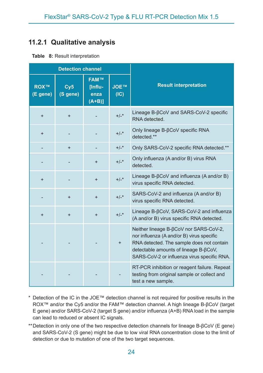### <span id="page-23-0"></span>**11.2.1 Qualitative analysis**

#### **Table 8:** Result interpretation

|                         | <b>Detection channel</b> |                                             |                      |                                                                                                                                                                                                                          |
|-------------------------|--------------------------|---------------------------------------------|----------------------|--------------------------------------------------------------------------------------------------------------------------------------------------------------------------------------------------------------------------|
| <b>ROX™</b><br>(E gene) | Cy5<br>(S gene)          | <b>FAM™</b><br>[Influ-<br>enza<br>$(A+B)$ ] | <b>JOETM</b><br>(IC) | <b>Result interpretation</b>                                                                                                                                                                                             |
| $+$                     | $\ddot{}$                |                                             | $+/-$ *              | Lineage B-BCoV and SARS-CoV-2 specific<br>RNA detected                                                                                                                                                                   |
| $+$                     |                          |                                             | $+/-^*$              | Only lineage B-βCoV specific RNA<br>detected.**                                                                                                                                                                          |
|                         | $\ddot{}$                |                                             | $+/-^*$              | Only SARS-CoV-2 specific RNA detected.**                                                                                                                                                                                 |
|                         |                          | $\ddot{}$                                   | $+/-^*$              | Only influenza (A and/or B) virus RNA<br>detected                                                                                                                                                                        |
| $\ddot{}$               |                          | $\ddot{}$                                   | $+/-^*$              | Lineage $B$ - $\beta$ CoV and influenza (A and/or B)<br>virus specific RNA detected.                                                                                                                                     |
|                         | $\ddot{}$                | $+$                                         | $+/-^*$              | SARS-CoV-2 and influenza (A and/or B)<br>virus specific RNA detected.                                                                                                                                                    |
| $\ddot{}$               | $\ddot{}$                | $\ddot{}$                                   | $+/-$ *              | Lineage B-BCoV, SARS-CoV-2 and influenza<br>(A and/or B) virus specific RNA detected.                                                                                                                                    |
|                         |                          |                                             | $\ddot{}$            | Neither lineage B-βCoV nor SARS-CoV-2,<br>nor influenza (A and/or B) virus specific<br>RNA detected. The sample does not contain<br>detectable amounts of lineage B-BCoV,<br>SARS-CoV-2 or influenza virus specific RNA. |
|                         |                          |                                             |                      | RT-PCR inhibition or reagent failure. Repeat<br>testing from original sample or collect and<br>test a new sample.                                                                                                        |

- \* Detection of the IC in the JOE™ detection channel is not required for positive results in the ROX™ and/or the Cy5 and/or the FAM™ detection channel. A high lineage B-βCoV (target E gene) and/or SARS-CoV-2 (target S gene) and/or influenza (A+B) RNA load in the sample can lead to reduced or absent IC signals.
- \*\* Detection in only one of the two respective detection channels for lineage B-βCoV (E gene) and SARS-CoV-2 (S gene) might be due to low viral RNA concentration close to the limit of detection or due to mutation of one of the two target sequences.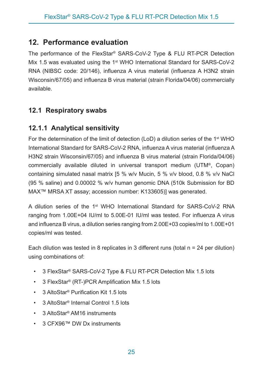### <span id="page-24-0"></span>**12. Performance evaluation**

The performance of the FlexStar® SARS-CoV-2 Type & FLU RT-PCR Detection Mix 1.5 was evaluated using the 1<sup>st</sup> WHO International Standard for SARS-CoV-2 RNA (NIBSC code: 20/146), influenza A virus material (influenza A H3N2 strain Wisconsin/67/05) and influenza B virus material (strain Florida/04/06) commercially available.

### <span id="page-24-1"></span>**12.1 Respiratory swabs**

### <span id="page-24-2"></span>**12.1.1 Analytical sensitivity**

For the determination of the limit of detection (LoD) a dilution series of the 1<sup>st</sup> WHO International Standard for SARS-CoV-2 RNA, influenza A virus material (influenza A H3N2 strain Wisconsin/67/05) and influenza B virus material (strain Florida/04/06) commercially available diluted in universal transport medium (UTM®, Copan) containing simulated nasal matrix [5 % w/v Mucin, 5 % v/v blood, 0.8 % v/v NaCl (95 % saline) and 0.00002 % w/v human genomic DNA (510k Submission for BD MAX™ MRSA XT assay; accession number: K133605)] was generated.

A dilution series of the 1<sup>st</sup> WHO International Standard for SARS-CoV-2 RNA ranging from 1.00E+04 IU/ml to 5.00E-01 IU/ml was tested. For influenza A virus and influenza B virus, a dilution series ranging from 2.00E+03 copies/ml to 1.00E+01 copies/ml was tested.

Each dilution was tested in 8 replicates in 3 different runs (total  $n = 24$  per dilution) using combinations of:

- 3 FlexStar® SARS-CoV-2 Type & FLU RT-PCR Detection Mix 1.5 lots
- 3 FlexStar® (RT-)PCR Amplification Mix 1.5 lots
- 3 AltoStar® Purification Kit 1.5 lots
- 3 AltoStar® Internal Control 1.5 lots
- 3 AltoStar® AM16 instruments
- 3 CFX96™ DW Dx instruments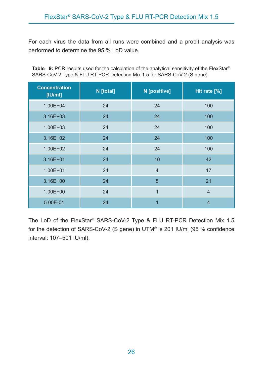For each virus the data from all runs were combined and a probit analysis was performed to determine the 95 % LoD value.

**Table 9:** PCR results used for the calculation of the analytical sensitivity of the FlexStar® SARS-CoV-2 Type & FLU RT-PCR Detection Mix 1.5 for SARS-CoV-2 (S gene)

| <b>Concentration</b><br>[ U/m ] | N [total] | N [positive]   | Hit rate [%]   |
|---------------------------------|-----------|----------------|----------------|
| $1.00E + 04$                    | 24        | 24             | 100            |
| $3.16E + 03$                    | 24        | 24             | 100            |
| $1.00E + 03$                    | 24        | 24             | 100            |
| $3.16E + 02$                    | 24        | 24             | 100            |
| $1.00E + 02$                    | 24        | 24             | 100            |
| $3.16E + 01$                    | 24        | 10             | 42             |
| $1.00E + 01$                    | 24        | $\overline{4}$ | 17             |
| $3.16E + 00$                    | 24        | 5              | 21             |
| $1.00E + 00$                    | 24        | $\mathbf 1$    | $\overline{4}$ |
| 5.00E-01                        | 24        | 1              | $\overline{4}$ |

The LoD of the FlexStar® SARS-CoV-2 Type & FLU RT-PCR Detection Mix 1.5 for the detection of SARS-CoV-2 (S gene) in UTM® is 201 IU/ml (95 % confidence interval: 107–501 IU/ml).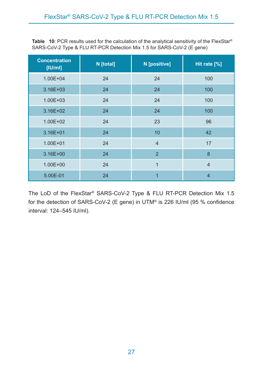Table 10: PCR results used for the calculation of the analytical sensitivity of the FlexStar<sup>®</sup> SARS-CoV-2 Type & FLU RT-PCR Detection Mix 1.5 for SARS-CoV-2 (E gene)

| <b>Concentration</b><br>[ U/m ] | N [total] | <b>N</b> [positive] | Hit rate [%]   |
|---------------------------------|-----------|---------------------|----------------|
| 1.00E+04                        | 24        | 24                  | 100            |
| $3.16E + 03$                    | 24        | 24                  | 100            |
| $1.00E + 03$                    | 24        | 24                  | 100            |
| $3.16E + 02$                    | 24        | 24                  | 100            |
| $1.00E + 02$                    | 24        | 23                  | 96             |
| $3.16E + 01$                    | 24        | 10                  | 42             |
| $1.00E + 01$                    | 24        | $\overline{4}$      | 17             |
| $3.16E + 00$                    | 24        | $\overline{2}$      | 8              |
| $1.00E + 00$                    | 24        | $\overline{1}$      | $\overline{4}$ |
| 5.00E-01                        | 24        | 1                   | $\overline{4}$ |

The LoD of the FlexStar® SARS-CoV-2 Type & FLU RT-PCR Detection Mix 1.5 for the detection of SARS-CoV-2 (E gene) in UTM® is 226 IU/ml (95 % confidence interval: 124–545 IU/ml).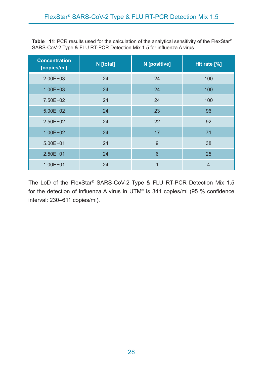Table 11: PCR results used for the calculation of the analytical sensitivity of the FlexStar<sup>®</sup> SARS-CoV-2 Type & FLU RT-PCR Detection Mix 1.5 for influenza A virus

| <b>Concentration</b><br>[copies/ml] | N [total] | N [positive] | Hit rate [%] |
|-------------------------------------|-----------|--------------|--------------|
| 2.00E+03                            | 24        | 24           | 100          |
| $1.00E + 03$                        | 24        | 24           | 100          |
| 7.50E+02                            | 24        | 24           | 100          |
| $5.00E + 02$                        | 24        | 23           | 96           |
| $2.50E + 02$                        | 24        | 22           | 92           |
| $1.00E + 02$                        | 24        | 17           | 71           |
| $5.00E + 01$                        | 24        | 9            | 38           |
| $2.50E + 01$                        | 24        | 6            | 25           |
| $1.00E + 01$                        | 24        | 1            | 4            |

The LoD of the FlexStar® SARS-CoV-2 Type & FLU RT-PCR Detection Mix 1.5 for the detection of influenza A virus in UTM® is 341 copies/ml (95 % confidence interval: 230–611 copies/ml).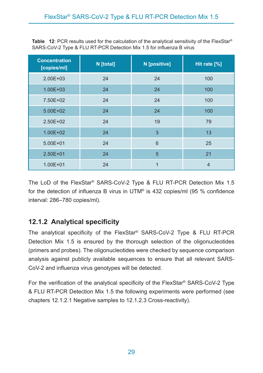Table 12: PCR results used for the calculation of the analytical sensitivity of the FlexStar<sup>®</sup> SARS-CoV-2 Type & FLU RT-PCR Detection Mix 1.5 for influenza B virus

| <b>Concentration</b><br>[copies/ml] | N [total] | N [positive]   | Hit rate [%]   |
|-------------------------------------|-----------|----------------|----------------|
| $2.00E + 03$                        | 24        | 24             | 100            |
| $1.00E + 03$                        | 24        | 24             | 100            |
| 7.50E+02                            | 24        | 24             | 100            |
| $5.00E + 02$                        | 24        | 24             | 100            |
| $2.50E + 02$                        | 24        | 19             | 79             |
| $1.00E + 02$                        | 24        | 3              | 13             |
| $5.00E + 01$                        | 24        | 6              | 25             |
| $2.50E + 01$                        | 24        | 5              | 21             |
| $1.00E + 01$                        | 24        | $\overline{1}$ | $\overline{4}$ |

The LoD of the FlexStar® SARS-CoV-2 Type & FLU RT-PCR Detection Mix 1.5 for the detection of influenza B virus in UTM® is 432 copies/ml (95 % confidence interval: 286–780 copies/ml).

### <span id="page-28-0"></span>**12.1.2 Analytical specificity**

The analytical specificity of the FlexStar® SARS-CoV-2 Type & FLU RT-PCR Detection Mix 1.5 is ensured by the thorough selection of the oligonucleotides (primers and probes). The oligonucleotides were checked by sequence comparison analysis against publicly available sequences to ensure that all relevant SARS-CoV-2 and influenza virus genotypes will be detected.

For the verification of the analytical specificity of the FlexStar® SARS-CoV-2 Type & FLU RT-PCR Detection Mix 1.5 the following experiments were performed (see chapters 12.1.2.1 Negative samples to 12.1.2.3 Cross-reactivity).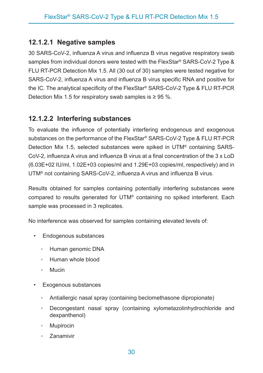#### <span id="page-29-0"></span>**12.1.2.1 Negative samples**

30 SARS-CoV-2, influenza A virus and influenza B virus negative respiratory swab samples from individual donors were tested with the FlexStar® SARS-CoV-2 Type & FLU RT-PCR Detection Mix 1.5. All (30 out of 30) samples were tested negative for SARS-CoV-2, influenza A virus and influenza B virus specific RNA and positive for the IC. The analytical specificity of the FlexStar® SARS-CoV-2 Type & FLU RT-PCR Detection Mix 1.5 for respiratory swab samples is  $\geq$  95 %.

#### <span id="page-29-1"></span>**12.1.2.2 Interfering substances**

To evaluate the influence of potentially interfering endogenous and exogenous substances on the performance of the FlexStar® SARS-CoV-2 Type & FLU RT-PCR Detection Mix 1.5, selected substances were spiked in UTM® containing SARS-CoV-2, influenza A virus and influenza B virus at a final concentration of the 3 x LoD (6.03E+02 IU/ml, 1.02E+03 copies/ml and 1.29E+03 copies/ml, respectively) and in UTM® not containing SARS-CoV-2, influenza A virus and influenza B virus.

Results obtained for samples containing potentially interfering substances were compared to results generated for UTM® containing no spiked interferent. Each sample was processed in 3 replicates.

No interference was observed for samples containing elevated levels of:

- Endogenous substances
	- Human genomic DNA
	- Human whole blood
	- Mucin
- Exogenous substances
	- Antiallergic nasal spray (containing beclomethasone dipropionate)
	- Decongestant nasal spray (containing xylometazolinhydrochloride and dexpanthenol)
	- Mupirocin
	- Zanamivir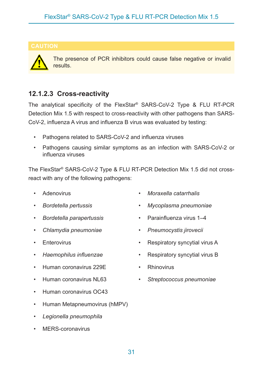

The presence of PCR inhibitors could cause false negative or invalid results.

### <span id="page-30-0"></span>**12.1.2.3 Cross-reactivity**

The analytical specificity of the FlexStar® SARS-CoV-2 Type & FLU RT-PCR Detection Mix 1.5 with respect to cross-reactivity with other pathogens than SARS-CoV-2, influenza A virus and influenza B virus was evaluated by testing:

- Pathogens related to SARS-CoV-2 and influenza viruses
- Pathogens causing similar symptoms as an infection with SARS-CoV-2 or influenza viruses

The FlexStar® SARS-CoV-2 Type & FLU RT-PCR Detection Mix 1.5 did not crossreact with any of the following pathogens:

- **Adenovirus**
- *Bordetella pertussis*
- *Bordetella parapertussis*
- *Chlamydia pneumoniae*
- Enterovirus
- *Haemophilus influenzae*
- Human coronavirus 229E
- Human coronavirus NL63
- Human coronavirus OC43
- Human Metapneumovirus (hMPV)
- *Legionella pneumophila*
- MERS-coronavirus
- *Moraxella catarrhalis*
- *Mycoplasma pneumoniae*
- Parainfluenza virus 1–4
- *Pneumocystis jirovecii*
- Respiratory syncytial virus A
- Respiratory syncytial virus B
- Rhinovirus
- *Streptococcus pneumoniae*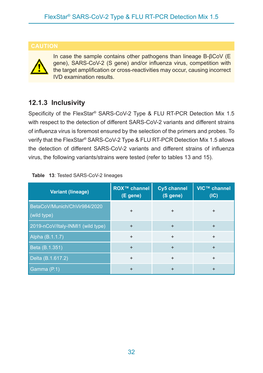

In case the sample contains other pathogens than lineage B-βCoV (E gene), SARS-CoV-2 (S gene) and/or influenza virus, competition with the target amplification or cross-reactivities may occur, causing incorrect IVD examination results.

### <span id="page-31-0"></span>**12.1.3 Inclusivity**

Specificity of the FlexStar® SARS-CoV-2 Type & FLU RT-PCR Detection Mix 1.5 with respect to the detection of different SARS-CoV-2 variants and different strains of influenza virus is foremost ensured by the selection of the primers and probes. To verify that the FlexStar® SARS-CoV-2 Type & FLU RT-PCR Detection Mix 1.5 allows the detection of different SARS-CoV-2 variants and different strains of influenza virus, the following variants/strains were tested (refer to tables 13 and 15).

| <b>Variant (lineage)</b>                    | <b>ROX™</b> channel<br>(E gene) | Cy5 channel<br>(S gene) | VIC™ channel<br>(IC) |
|---------------------------------------------|---------------------------------|-------------------------|----------------------|
| BetaCoV/Munich/ChVir984/2020<br>(wild type) | $\ddot{}$                       | $\ddot{}$               | $\ddot{}$            |
| 2019-nCoV/Italy-INMI1 (wild type)           | $\ddot{}$                       | $+$                     | $+$                  |
| Alpha (B.1.1.7)                             | $\ddot{}$                       | $\ddot{}$               | $+$                  |
| Beta (B.1.351)                              | $\ddot{}$                       | $+$                     | $+$                  |
| Delta (B.1.617.2)                           | $\ddot{}$                       | $\ddot{}$               | $\ddot{}$            |
| Gamma (P.1)                                 | $\ddot{}$                       | $\ddot{}$               | $\ddot{}$            |

|  |  | Table 13: Tested SARS-CoV-2 lineages |  |
|--|--|--------------------------------------|--|
|--|--|--------------------------------------|--|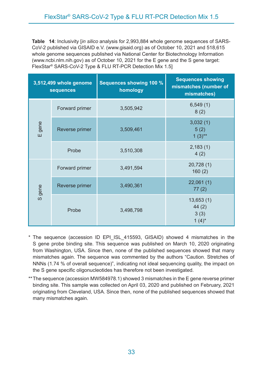**Table 14**: Inclusivity [*in silico* analysis for 2,993,884 whole genome sequences of SARS-CoV-2 published via GISAID e.V. (www.gisaid.org) as of October 10, 2021 and 518,615 whole genome sequences published via National Center for Biotechnology Information (www.ncbi.nlm.nih.gov) as of October 10, 2021 for the E gene and the S gene target: FlexStar® SARS-CoV-2 Type & FLU RT-PCR Detection Mix 1.5]

| 3,512,499 whole genome<br>sequences |                | <b>Sequences showing 100 %</b><br>homology | <b>Sequences showing</b><br>mismatches (number of<br>mismatches) |
|-------------------------------------|----------------|--------------------------------------------|------------------------------------------------------------------|
|                                     | Forward primer | 3,505,942                                  | 6,549(1)<br>8(2)                                                 |
| E gene                              | Reverse primer | 3,509,461                                  | 3,032(1)<br>5(2)<br>$1(3)$ **                                    |
|                                     | Probe          | 3,510,308                                  | 2,183(1)<br>4(2)                                                 |
|                                     | Forward primer | 3,491,594                                  | 20,728(1)<br>160(2)                                              |
| gene                                | Reverse primer | 3,490,361                                  | 22,061(1)<br>77(2)                                               |
| ပာ                                  | Probe          | 3,498,798                                  | 13,653(1)<br>44(2)<br>3(3)<br>$1(4)^{*}$                         |

- \* The sequence (accession ID EPI\_ISL\_415593, GISAID) showed 4 mismatches in the S gene probe binding site. This sequence was published on March 10, 2020 originating from Washington, USA. Since then, none of the published sequences showed that many mismatches again. The sequence was commented by the authors "Caution. Stretches of NNNs (1.74 % of overall sequence)", indicating not ideal sequencing quality, the impact on the S gene specific oligonucleotides has therefore not been investigated.
- \*\* The sequence (accession MW584978.1) showed 3 mismatches in the E gene reverse primer binding site. This sample was collected on April 03, 2020 and published on February, 2021 originating from Cleveland, USA. Since then, none of the published sequences showed that many mismatches again.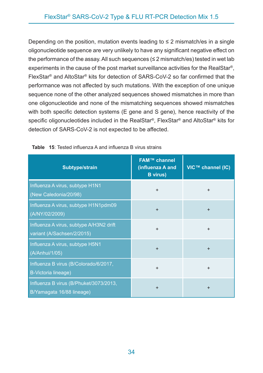Depending on the position, mutation events leading to  $\leq$  2 mismatch/es in a single oligonucleotide sequence are very unlikely to have any significant negative effect on the performance of the assay. All such sequences  $(\leq 2 \text{ mismatch/es})$  tested in wet lab experiments in the cause of the post market surveillance activities for the RealStar®, FlexStar® and AltoStar® kits for detection of SARS-CoV-2 so far confirmed that the performance was not affected by such mutations. With the exception of one unique sequence none of the other analyzed sequences showed mismatches in more than one oligonucleotide and none of the mismatching sequences showed mismatches with both specific detection systems (E gene and S gene), hence reactivity of the specific oligonucleotides included in the RealStar®, FlexStar® and AltoStar® kits for detection of SARS-CoV-2 is not expected to be affected.

| Subtype/strain                                                        | <b>FAM™ channel</b><br>(influenza A and<br><b>B</b> virus) | VIC™ channel (IC) |
|-----------------------------------------------------------------------|------------------------------------------------------------|-------------------|
| Influenza A virus, subtype H1N1<br>(New Caledonia/20/98)              | $\ddot{}$                                                  | $\ddot{}$         |
| Influenza A virus, subtype H1N1pdm09<br>(A/NY/02/2009)                | $\ddot{}$                                                  | $\ddot{}$         |
| Influenza A virus, subtype A/H3N2 drift<br>variant (A/Sachsen/2/2015) | $\ddot{}$                                                  | $\ddot{}$         |
| Influenza A virus, subtype H5N1<br>(A/Anhui/1/05)                     | $\ddot{}$                                                  | $\ddot{}$         |
| Influenza B virus (B/Colorado/6/2017,<br>B-Victoria lineage)          | $\ddot{}$                                                  | $\ddot{}$         |
| Influenza B virus (B/Phuket/3073/2013,<br>B/Yamagata 16/88 lineage)   | $\ddot{}$                                                  | $\ddot{}$         |

| <b>Table 15:</b> Tested influenza A and influenza B virus strains |
|-------------------------------------------------------------------|
|-------------------------------------------------------------------|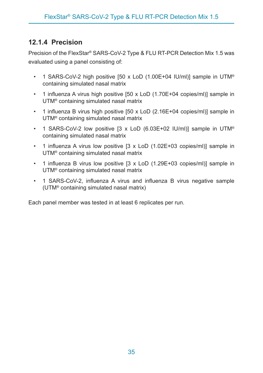### <span id="page-34-0"></span>**12.1.4 Precision**

Precision of the FlexStar® SARS-CoV-2 Type & FLU RT-PCR Detection Mix 1.5 was evaluated using a panel consisting of:

- 1 SARS-CoV-2 high positive [50 x LoD (1.00E+04 IU/ml)] sample in UTM® containing simulated nasal matrix
- 1 influenza A virus high positive [50 x LoD (1.70E+04 copies/ml)] sample in UTM® containing simulated nasal matrix
- 1 influenza B virus high positive [50 x LoD (2.16E+04 copies/ml)] sample in UTM® containing simulated nasal matrix
- 1 SARS-CoV-2 low positive [3 x LoD (6.03E+02 IU/ml)] sample in UTM® containing simulated nasal matrix
- 1 influenza A virus low positive  $(3 \times$  LoD  $(1.02E+03 \text{ copies/ml})$  sample in UTM® containing simulated nasal matrix
- 1 influenza B virus low positive  $(3 \times$  LoD  $(1.29E+03$  copies/ml)] sample in UTM® containing simulated nasal matrix
- 1 SARS-CoV-2, influenza A virus and influenza B virus negative sample (UTM® containing simulated nasal matrix)

Each panel member was tested in at least 6 replicates per run.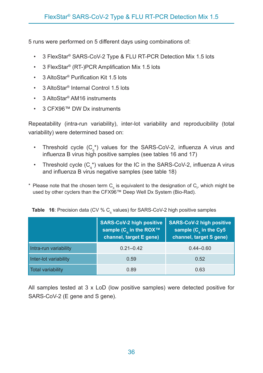5 runs were performed on 5 different days using combinations of:

- 3 FlexStar® SARS-CoV-2 Type & FLU RT-PCR Detection Mix 1.5 lots
- 3 FlexStar<sup>®</sup> (RT-)PCR Amplification Mix 1.5 lots
- 3 AltoStar® Purification Kit 1.5 lots
- 3 AltoStar<sup>®</sup> Internal Control 1.5 lots
- 3 AltoStar® AM16 instruments
- 3 CFX96™ DW Dx instruments

Repeatability (intra-run variability), inter-lot variability and reproducibility (total variability) were determined based on:

- Threshold cycle  $(C_q^*)$  values for the SARS-CoV-2, influenza A virus and influenza B virus high positive samples (see tables 16 and 17)
- Threshold cycle  $(C_q^*)$  values for the IC in the SARS-CoV-2, influenza A virus and influenza B virus negative samples (see table 18)
- $^\ast$  Please note that the chosen term  ${\sf C}_{\sf q}$  is equivalent to the designation of  ${\sf C}_{\sf t}$ , which might be used by other cyclers than the CFX96™ Deep Well Dx System (Bio-Rad).

|  |  |  |  | <b>Table 16</b> : Precision data (CV % $C_{\alpha}$ values) for SARS-CoV-2 high positive samples |  |  |
|--|--|--|--|--------------------------------------------------------------------------------------------------|--|--|
|--|--|--|--|--------------------------------------------------------------------------------------------------|--|--|

|                          | <b>SARS-CoV-2 high positive</b><br>sample ( $C_{\alpha}$ in the ROX™<br>channel, target E gene) | <b>SARS-CoV-2 high positive</b><br>sample $(C_{\alpha}$ in the Cy5<br>channel, target S gene) |
|--------------------------|-------------------------------------------------------------------------------------------------|-----------------------------------------------------------------------------------------------|
| Intra-run variability    | $0.21 - 0.42$                                                                                   | $0.44 - 0.60$                                                                                 |
| Inter-lot variability    | 0.59                                                                                            | 0.52                                                                                          |
| <b>Total variability</b> | 0.89                                                                                            | 0.63                                                                                          |

All samples tested at 3 x LoD (low positive samples) were detected positive for SARS-CoV-2 (E gene and S gene).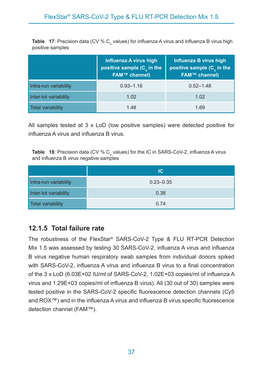**Table 17**: Precision data (CV % C<sub>o</sub> values) for influenza A virus and influenza B virus high positive samples

|                       | Influenza A virus high<br>positive sample (C <sub>a</sub> in the<br><b>FAM™ channel)</b> | <b>Influenza B virus high</b><br>positive sample (C <sub>a</sub> in the<br><b>FAM™ channel)</b> |
|-----------------------|------------------------------------------------------------------------------------------|-------------------------------------------------------------------------------------------------|
| Intra-run variability | $0.93 - 1.16$                                                                            | $0.52 - 1.48$                                                                                   |
| Inter-lot variability | 1.02                                                                                     | 1.02                                                                                            |
| Total variability     | 1.48                                                                                     | 1.69                                                                                            |

All samples tested at 3 x LoD (low positive samples) were detected positive for influenza A virus and influenza B virus.

Table 18: Precision data (CV % C<sub>o</sub> values) for the IC in SARS-CoV-2, influenza A virus and influenza B virus negative samples

|                       | IC.           |
|-----------------------|---------------|
| Intra-run variability | $0.23 - 0.35$ |
| Inter-lot variability | 0.38          |
| Total variability     | 0.74          |

#### <span id="page-36-0"></span>**12.1.5 Total failure rate**

The robustness of the FlexStar® SARS-CoV-2 Type & FLU RT-PCR Detection Mix 1.5 was assessed by testing 30 SARS-CoV-2, influenza A virus and influenza B virus negative human respiratory swab samples from individual donors spiked with SARS-CoV-2, influenza A virus and influenza B virus to a final concentration of the 3 x LoD (6.03E+02 IU/ml of SARS-CoV-2, 1.02E+03 copies/ml of influenza A virus and 1.29E+03 copies/ml of influenza B virus). All (30 out of 30) samples were tested positive in the SARS-CoV-2 specific fluorescence detection channels (Cy5 and ROX™) and in the influenza A virus and influenza B virus specific fluorescence detection channel (FAM™).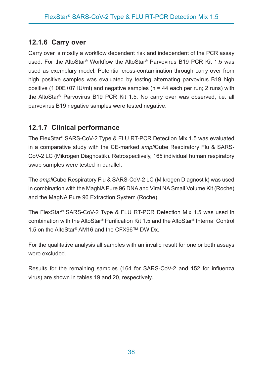#### <span id="page-37-0"></span>**12.1.6 Carry over**

Carry over is mostly a workflow dependent risk and independent of the PCR assay used. For the AltoStar® Workflow the AltoStar® Parvovirus B19 PCR Kit 1.5 was used as exemplary model. Potential cross-contamination through carry over from high positive samples was evaluated by testing alternating parvovirus B19 high positive (1.00E+07 IU/ml) and negative samples (n = 44 each per run; 2 runs) with the AltoStar® Parvovirus B19 PCR Kit 1.5. No carry over was observed, i.e. all parvovirus B19 negative samples were tested negative.

#### <span id="page-37-1"></span>**12.1.7 Clinical performance**

The FlexStar® SARS-CoV-2 Type & FLU RT-PCR Detection Mix 1.5 was evaluated in a comparative study with the CE-marked *ampli*Cube Respiratory Flu & SARS-CoV-2 LC (Mikrogen Diagnostik). Retrospectively, 165 individual human respiratory swab samples were tested in parallel.

The *ampli*Cube Respiratory Flu & SARS-CoV-2 LC (Mikrogen Diagnostik) was used in combination with the MagNA Pure 96 DNA and Viral NA Small Volume Kit (Roche) and the MagNA Pure 96 Extraction System (Roche).

The FlexStar® SARS-CoV-2 Type & FLU RT-PCR Detection Mix 1.5 was used in combination with the AltoStar® Purification Kit 1.5 and the AltoStar® Internal Control 1.5 on the AltoStar® AM16 and the CFX96™ DW Dx.

For the qualitative analysis all samples with an invalid result for one or both assays were excluded.

Results for the remaining samples (164 for SARS-CoV-2 and 152 for influenza virus) are shown in tables 19 and 20, respectively.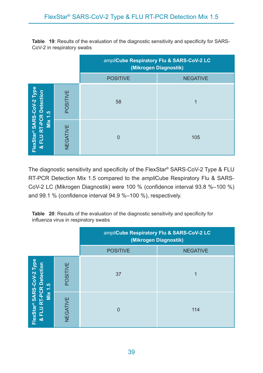**Table 19**: Results of the evaluation of the diagnostic sensitivity and specificity for SARS-CoV-2 in respiratory swabs

|                                                                |          | ampliCube Respiratory Flu & SARS-CoV-2 LC<br>(Mikrogen Diagnostik) |                 |  |
|----------------------------------------------------------------|----------|--------------------------------------------------------------------|-----------------|--|
|                                                                |          | <b>POSITIVE</b>                                                    | <b>NEGATIVE</b> |  |
| FlexStar® SARS-CoV-2 Type<br>& FLU RT-PCR Detection<br>Mix 1.5 | POSITIVE | 58                                                                 |                 |  |
|                                                                | NEGATIVE | $\Omega$                                                           | 105             |  |

The diagnostic sensitivity and specificity of the FlexStar® SARS-CoV-2 Type & FLU RT-PCR Detection Mix 1.5 compared to the *ampli*Cube Respiratory Flu & SARS-CoV-2 LC (Mikrogen Diagnostik) were 100 % (confidence interval 93.8 %–100 %) and 99.1 % (confidence interval 94.9 %–100 %), respectively.

**Table 20**: Results of the evaluation of the diagnostic sensitivity and specificity for influenza virus in respiratory swabs

|                                                                |          | ampliCube Respiratory Flu & SARS-CoV-2 LC<br>(Mikrogen Diagnostik) |                 |  |
|----------------------------------------------------------------|----------|--------------------------------------------------------------------|-----------------|--|
|                                                                |          | <b>POSITIVE</b>                                                    | <b>NEGATIVE</b> |  |
| FlexStar® SARS-CoV-2 Type<br>& FLU RT-PCR Detection<br>Mix 1.5 | POSITIVE | 37                                                                 |                 |  |
|                                                                | NEGATIVE | $\Omega$                                                           | 114             |  |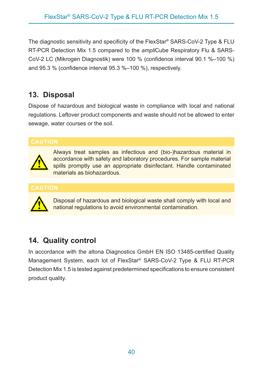The diagnostic sensitivity and specificity of the FlexStar® SARS-CoV-2 Type & FLU RT-PCR Detection Mix 1.5 compared to the *ampli*Cube Respiratory Flu & SARS-CoV-2 LC (Mikrogen Diagnostik) were 100 % (confidence interval 90.1 %–100 %) and 95.3 % (confidence interval 95.3 %–100 %), respectively.

## <span id="page-39-0"></span>**13. Disposal**

Dispose of hazardous and biological waste in compliance with local and national regulations. Leftover product components and waste should not be allowed to enter sewage, water courses or the soil.



Always treat samples as infectious and (bio-)hazardous material in accordance with safety and laboratory procedures. For sample material spills promptly use an appropriate disinfectant. Handle contaminated materials as biohazardous.



Disposal of hazardous and biological waste shall comply with local and national regulations to avoid environmental contamination.

## <span id="page-39-1"></span>**14. Quality control**

In accordance with the altona Diagnostics GmbH EN ISO 13485-certified Quality Management System, each lot of FlexStar® SARS-CoV-2 Type & FLU RT-PCR Detection Mix 1.5 is tested against predetermined specifications to ensure consistent product quality.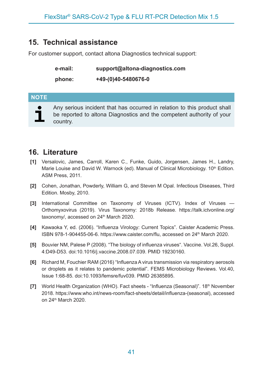## <span id="page-40-0"></span>**15. Technical assistance**

For customer support, contact altona Diagnostics technical support:

**e-mail: support@altona-diagnostics.com**

**phone: +49-(0)40-5480676-0**

#### **NOTE**

Any serious incident that has occurred in relation to this product shall be reported to altona Diagnostics and the competent authority of your country.

#### <span id="page-40-1"></span>**16. Literature**

- **[1]** Versalovic, James, Carroll, Karen C., Funke, Guido, Jorgensen, James H., Landry, Marie Louise and David W. Warnock (ed). Manual of Clinical Microbiology. 10th Edition. ASM Press, 2011.
- **[2]** Cohen, Jonathan, Powderly, William G, and Steven M Opal. Infectious Diseases, Third Edition. Mosby, 2010.
- **[3]** International Committee on Taxonomy of Viruses (ICTV). Index of Viruses Orthomyxovirus (2019). Virus Taxonomy: 2018b Release. https://talk.ictvonline.org/ taxonomy/, accessed on 24<sup>th</sup> March 2020.
- **[4]** Kawaoka Y, ed. (2006). "Influenza Virology: Current Topics". Caister Academic Press. ISBN 978-1-904455-06-6. https://www.caister.com/flu, accessed on 24th March 2020.
- **[5]** Bouvier NM, Palese P (2008). "The biology of influenza viruses". Vaccine. Vol.26, Suppl. 4:D49-D53. doi:10.1016/j.vaccine.2008.07.039. PMID 19230160.
- **[6]** Richard M, Fouchier RAM (2016) "InfluenzaAvirus transmission via respiratory aerosols or droplets as it relates to pandemic potential". FEMS Microbiology Reviews. Vol.40, Issue 1:68-85. doi:10.1093/femsre/fuv039. PMID 26385895.
- **[7]** World Health Organization (WHO). Fact sheets "Influenza (Seasonal)". 18<sup>th</sup> November 2018. https://www.who.int/news-room/fact-sheets/detail/influenza-(seasonal), accessed on 24<sup>th</sup> March 2020.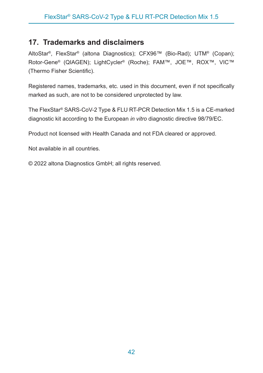### <span id="page-41-0"></span>**17. Trademarks and disclaimers**

AltoStar®, FlexStar® (altona Diagnostics); CFX96™ (Bio-Rad); UTM® (Copan); Rotor-Gene® (QIAGEN); LightCycler® (Roche); FAM™, JOE™, ROX™, VIC™ (Thermo Fisher Scientific).

Registered names, trademarks, etc. used in this document, even if not specifically marked as such, are not to be considered unprotected by law.

The FlexStar® SARS-CoV-2 Type & FLU RT-PCR Detection Mix 1.5 is a CE-marked diagnostic kit according to the European *in vitro* diagnostic directive 98/79/EC.

Product not licensed with Health Canada and not FDA cleared or approved.

Not available in all countries.

© 2022 altona Diagnostics GmbH; all rights reserved.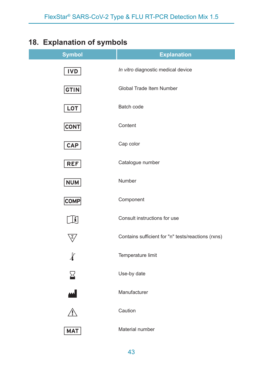# <span id="page-42-0"></span>**18. Explanation of symbols**

| <b>Symbol</b>      | <b>Explanation</b>                                 |
|--------------------|----------------------------------------------------|
| IVD                | In vitro diagnostic medical device                 |
| <b>GTIN</b>        | Global Trade Item Number                           |
| <b>LOT</b>         | Batch code                                         |
| <b>CONT</b>        | Content                                            |
| CAP                | Cap color                                          |
| <b>REF</b>         | Catalogue number                                   |
| <b>NUM</b>         | Number                                             |
| <b>COMP</b>        | Component                                          |
| 1                  | Consult instructions for use                       |
| $\bigtriangledown$ | Contains sufficient for "n" tests/reactions (rxns) |
| $\chi$             | Temperature limit                                  |
| $\mathbf 2$        | Use-by date                                        |
| <u>ma</u>          | Manufacturer                                       |
|                    | Caution                                            |
| <b>MAT</b>         | Material number                                    |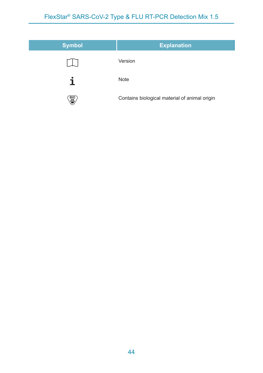| <b>Symbol</b> | <b>Explanation</b>                            |
|---------------|-----------------------------------------------|
|               | Version                                       |
|               | <b>Note</b>                                   |
| $rac{B}{2}$   | Contains biological material of animal origin |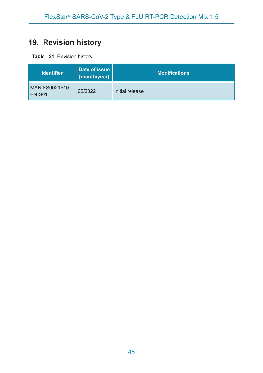# <span id="page-44-0"></span>**19. Revision history**

**Table 21**: Revision history

| <b>Identifier</b>          | Date of issue<br>[month/year] | <b>Modifications</b> |
|----------------------------|-------------------------------|----------------------|
| MAN-FS0021510-<br>$EN-S01$ | 02/2022                       | Initial release      |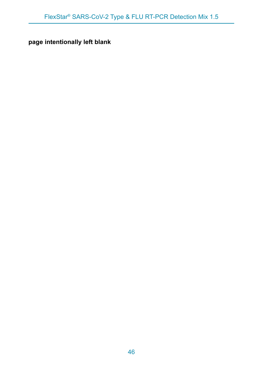**page intentionally left blank**